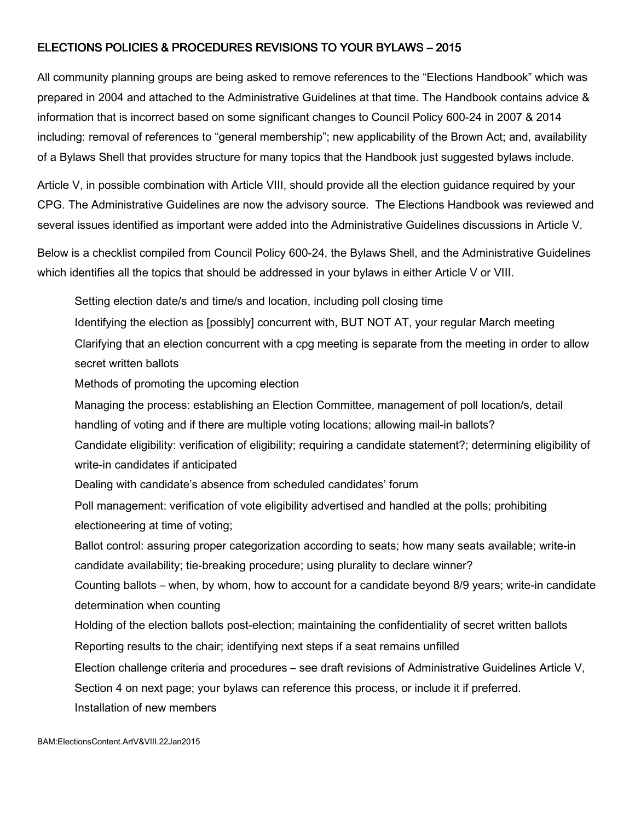#### ELECTIONS POLICIES & PROCEDURES REVISIONS TO YOUR BYLAWS – 2015

All community planning groups are being asked to remove references to the "Elections Handbook" which was prepared in 2004 and attached to the Administrative Guidelines at that time. The Handbook contains advice & information that is incorrect based on some significant changes to Council Policy 600-24 in 2007 & 2014 including: removal of references to "general membership"; new applicability of the Brown Act; and, availability of a Bylaws Shell that provides structure for many topics that the Handbook just suggested bylaws include.

Article V, in possible combination with Article VIII, should provide all the election guidance required by your CPG. The Administrative Guidelines are now the advisory source. The Elections Handbook was reviewed and several issues identified as important were added into the Administrative Guidelines discussions in Article V.

Below is a checklist compiled from Council Policy 600-24, the Bylaws Shell, and the Administrative Guidelines which identifies all the topics that should be addressed in your bylaws in either Article V or VIII.

Setting election date/s and time/s and location, including poll closing time

Identifying the election as [possibly] concurrent with, BUT NOT AT, your regular March meeting

Clarifying that an election concurrent with a cpg meeting is separate from the meeting in order to allow secret written ballots

Methods of promoting the upcoming election

Managing the process: establishing an Election Committee, management of poll location/s, detail

handling of voting and if there are multiple voting locations; allowing mail-in ballots?

Candidate eligibility: verification of eligibility; requiring a candidate statement?; determining eligibility of write-in candidates if anticipated

Dealing with candidate's absence from scheduled candidates' forum

Poll management: verification of vote eligibility advertised and handled at the polls; prohibiting electioneering at time of voting;

Ballot control: assuring proper categorization according to seats; how many seats available; write-in candidate availability; tie-breaking procedure; using plurality to declare winner?

Counting ballots – when, by whom, how to account for a candidate beyond 8/9 years; write-in candidate determination when counting

Holding of the election ballots post-election; maintaining the confidentiality of secret written ballots

Reporting results to the chair; identifying next steps if a seat remains unfilled

Election challenge criteria and procedures – see draft revisions of Administrative Guidelines Article V,

Section 4 on next page; your bylaws can reference this process, or include it if preferred.

Installation of new members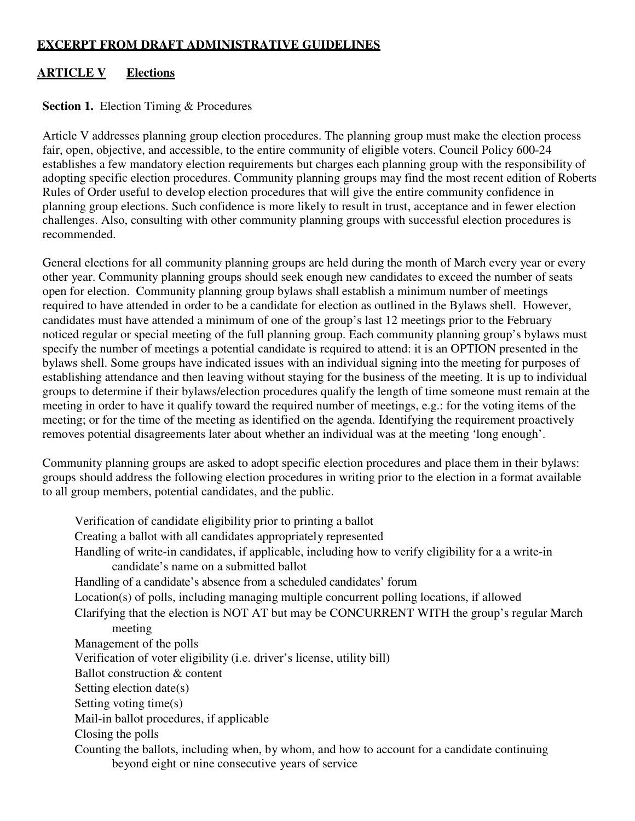### **EXCERPT FROM DRAFT ADMINISTRATIVE GUIDELINES**

## **ARTICLE V Elections**

#### **Section 1.** Election Timing & Procedures

Article V addresses planning group election procedures. The planning group must make the election process fair, open, objective, and accessible, to the entire community of eligible voters. Council Policy 600-24 establishes a few mandatory election requirements but charges each planning group with the responsibility of adopting specific election procedures. Community planning groups may find the most recent edition of Roberts Rules of Order useful to develop election procedures that will give the entire community confidence in planning group elections. Such confidence is more likely to result in trust, acceptance and in fewer election challenges. Also, consulting with other community planning groups with successful election procedures is recommended. challenges. Also, consulting with other community planning groups with successful election procedures is<br>recommended.<br>General elections for all community planning groups are held during the month of March every year or eve

other year. Community planning groups should seek enough new candidates to exceed the number of seats open for election. Community planning group bylaws shall establish a minimum number of meetings required to have attended in order to be a candidate for election as outlined in the Bylaws shell. However, candidates must have attended a minimum of one of the group's last 12 meetings prior to the February noticed regular or special meeting of the full planning group. Each community planning group's bylaws must specify the number of meetings a potential candidate is required to attend: it is an OPTION presented in the bylaws shell. Some groups have indicated issues with an individual signing into the meeting for purposes of specify the number of meetings a potential candidate is required to attend: it is an OPTION presented in the<br>bylaws shell. Some groups have indicated issues with an individual signing into the meeting for purposes of<br>estab groups to determine if their bylaws/election procedures qualify the length of time someone must remain at the groups to determine if their bylaws/election procedures qualify the length of time someone must remain at the<br>meeting in order to have it qualify toward the required number of meetings, e.g.: for the voting items of the meeting; or for the time of the meeting as identified on the agenda. Identifying the requirement proactively removes potential disagreements later about whether an individual was at the meeting 'long enough'. roup. Each community planning group's bylaws mus<br>required to attend: it is an OPTION presented in the<br>n individual signing into the meeting for purposes of<br>g for the business of the meeting. It is up to individua<br>qualify t

removes potential disagreements later about whether an individual was at the meeting 'long<br>Community planning groups are asked to adopt specific election procedures and place them groups should address the following election procedures in writing prior to the election in a format available to all group members, potential candidates, and the public.

to all group members, potential candidates, and the public.<br>Verification of candidate eligibility prior to printing a ballot Creating a ballot with all candidates appropriately represented It is should address the following election procedures in writing prior to the election in a format avair<br>proup members, potential candidates, and the public.<br>Verification of candidate eligibility prior to printing a ballo candidate's name on a submitted ballot Handling of a candidate's absence from a scheduled candidates' forum candidate's name on a submitted ballot<br>Handling of a candidate's absence from a scheduled candidates' forum<br>Location(s) of polls, including managing multiple concurrent polling locations, if allowed Clarifying that the election is NOT AT but may be CONCURRENT WITH the group's regular March meeting Management of the polls Verification of voter eligibility (i.e. driver's license, utility bill) Ballot construction & content Setting election date(s) Setting voting time(s) Mail-in ballot procedures, if applicable Closing the polls Counting the ballots, including when, by whom, and how to account for a candidate continuing beyond eight or nine consecutive years of service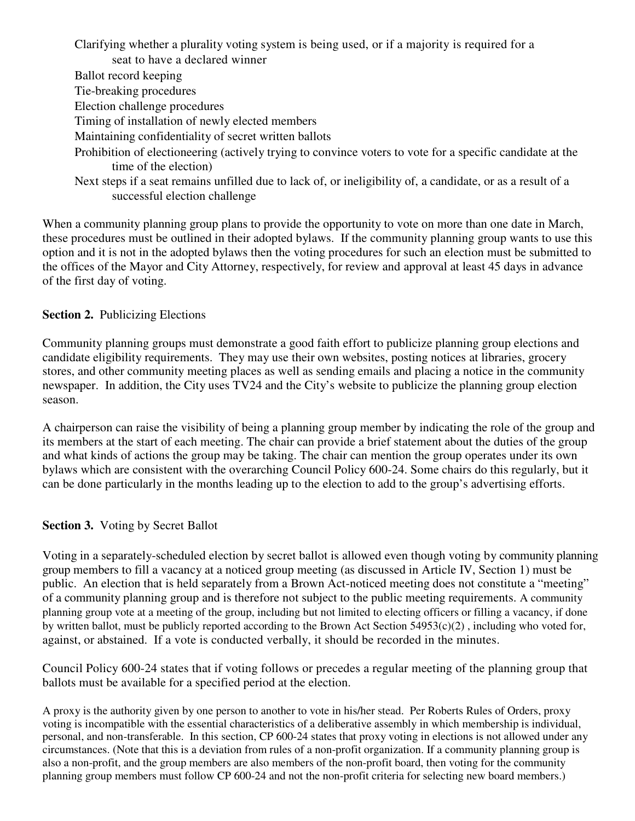Clarifying whether a plurality voting system is being used, or if a majority is required for a

seat to have a declared winner

- Ballot record keeping
- Tie-breaking procedures
- Election challenge procedures
- Timing of installation of newly elected members
- Maintaining confidentiality of secret written ballots
- Prohibition of electioneering (actively trying to convince voters to vote for a specific candidate at the time of the election)
- Next steps if a seat remains unfilled due to lack of, or ineligibility of, a candidate, or as a result of a successful election challenge

When a community planning group plans to provide the opportunity to vote on more than one date in March, these procedures must be outlined in their adopted bylaws. If the community planning group wants to use this option and it is not in the adopted bylaws then the voting procedures for such an election must be submitted to the offices of the Mayor and City Attorney, respectively, for review and approval at least 45 days in advance of the first day of voting.

## **Section 2.** Publicizing Elections

Community planning groups must demonstrate a good faith effort to publicize planning group elections and candidate eligibility requirements. They may use their own websites, posting notices at libraries, grocery stores, and other community meeting places as well as sending emails and placing a notice in the community newspaper. In addition, the City uses TV24 and the City's website to publicize the planning group election season.

A chairperson can raise the visibility of being a planning group member by indicating the role of the group and its members at the start of each meeting. The chair can provide a brief statement about the duties of the group and what kinds of actions the group may be taking. The chair can mention the group operates under its own bylaws which are consistent with the overarching Council Policy 600-24. Some chairs do this regularly, but it can be done particularly in the months leading up to the election to add to the group's advertising efforts.

# **Section 3.** Voting by Secret Ballot

Voting in a separately-scheduled election by secret ballot is allowed even though voting by community planning group members to fill a vacancy at a noticed group meeting (as discussed in Article IV, Section 1) must be public. An election that is held separately from a Brown Act-noticed meeting does not constitute a "meeting" of a community planning group and is therefore not subject to the public meeting requirements. A community planning group vote at a meeting of the group, including but not limited to electing officers or filling a vacancy, if done by written ballot, must be publicly reported according to the Brown Act Section  $54953(c)(2)$ , including who voted for, against, or abstained. If a vote is conducted verbally, it should be recorded in the minutes.

Council Policy 600-24 states that if voting follows or precedes a regular meeting of the planning group that ballots must be available for a specified period at the election.

A proxy is the authority given by one person to another to vote in his/her stead. Per Roberts Rules of Orders, proxy voting is incompatible with the essential characteristics of a deliberative assembly in which membership is individual, personal, and non-transferable. In this section, CP 600-24 states that proxy voting in elections is not allowed under any circumstances. (Note that this is a deviation from rules of a non-profit organization. If a community planning group is also a non-profit, and the group members are also members of the non-profit board, then voting for the community planning group members must follow CP 600-24 and not the non-profit criteria for selecting new board members.)